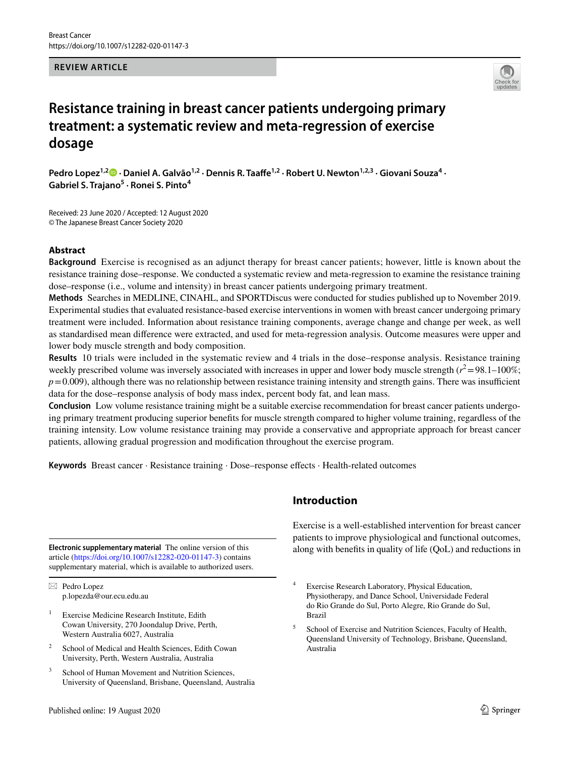### **REVIEW ARTICLE**



# **Resistance training in breast cancer patients undergoing primary treatment: a systematic review and meta‑regression of exercise dosage**

Pedro Lopez<sup>1,[2](http://orcid.org/0000-0002-3897-667X)</sup><sup>0</sup> · Daniel A. Galvão<sup>1,2</sup> · Dennis R. Taaffe<sup>1,2</sup> · Robert U. Newton<sup>1,2,3</sup> · Giovani Souza<sup>4</sup> · **Gabriel S. Trajano5 · Ronei S. Pinto4**

Received: 23 June 2020 / Accepted: 12 August 2020 © The Japanese Breast Cancer Society 2020

## **Abstract**

**Background** Exercise is recognised as an adjunct therapy for breast cancer patients; however, little is known about the resistance training dose–response. We conducted a systematic review and meta-regression to examine the resistance training dose–response (i.e., volume and intensity) in breast cancer patients undergoing primary treatment.

**Methods** Searches in MEDLINE, CINAHL, and SPORTDiscus were conducted for studies published up to November 2019. Experimental studies that evaluated resistance-based exercise interventions in women with breast cancer undergoing primary treatment were included. Information about resistance training components, average change and change per week, as well as standardised mean diference were extracted, and used for meta-regression analysis. Outcome measures were upper and lower body muscle strength and body composition.

**Results** 10 trials were included in the systematic review and 4 trials in the dose–response analysis. Resistance training weekly prescribed volume was inversely associated with increases in upper and lower body muscle strength  $(r^2 = 98.1 - 100\%;$  $p=0.009$ ), although there was no relationship between resistance training intensity and strength gains. There was insufficient data for the dose–response analysis of body mass index, percent body fat, and lean mass.

**Conclusion** Low volume resistance training might be a suitable exercise recommendation for breast cancer patients undergoing primary treatment producing superior benefts for muscle strength compared to higher volume training, regardless of the training intensity. Low volume resistance training may provide a conservative and appropriate approach for breast cancer patients, allowing gradual progression and modifcation throughout the exercise program.

**Keywords** Breast cancer · Resistance training · Dose–response efects · Health-related outcomes

article [\(https://doi.org/10.1007/s12282-020-01147-3\)](https://doi.org/10.1007/s12282-020-01147-3) contains supplementary material, which is available to authorized users.

 $\boxtimes$  Pedro Lopez p.lopezda@our.ecu.edu.au

- Exercise Medicine Research Institute, Edith Cowan University, 270 Joondalup Drive, Perth, Western Australia 6027, Australia
- <sup>2</sup> School of Medical and Health Sciences, Edith Cowan University, Perth, Western Australia, Australia
- <sup>3</sup> School of Human Movement and Nutrition Sciences, University of Queensland, Brisbane, Queensland, Australia

# **Introduction**

Exercise is a well-established intervention for breast cancer patients to improve physiological and functional outcomes, along with benefts in quality of life (QoL) and reductions in **Electronic supplementary material** The online version of this

<sup>5</sup> School of Exercise and Nutrition Sciences, Faculty of Health, Queensland University of Technology, Brisbane, Queensland, Australia

Exercise Research Laboratory, Physical Education, Physiotherapy, and Dance School, Universidade Federal do Rio Grande do Sul, Porto Alegre, Rio Grande do Sul, Brazil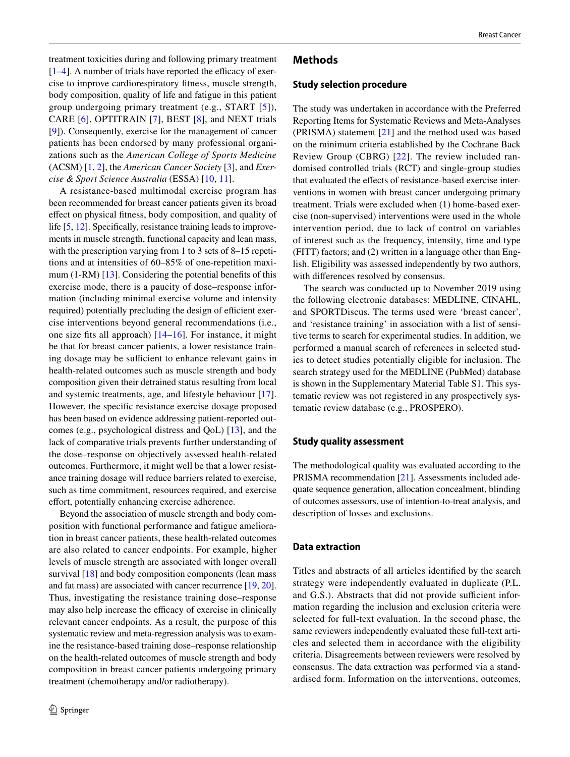treatment toxicities during and following primary treatment  $[1-4]$  $[1-4]$ . A number of trials have reported the efficacy of exercise to improve cardiorespiratory ftness, muscle strength, body composition, quality of life and fatigue in this patient group undergoing primary treatment (e.g., START [[5\]](#page-7-2)), CARE [[6\]](#page-7-3), OPTITRAIN [[7\]](#page-7-4), BEST [[8\]](#page-7-5), and NEXT trials [\[9](#page-7-6)]). Consequently, exercise for the management of cancer patients has been endorsed by many professional organizations such as the *American College of Sports Medicine* (ACSM) [[1,](#page-7-0) [2](#page-7-7)], the *American Cancer Society* [\[3](#page-7-8)], and *Exercise & Sport Science Australia* (ESSA) [[10,](#page-7-9) [11](#page-7-10)].

A resistance-based multimodal exercise program has been recommended for breast cancer patients given its broad efect on physical ftness, body composition, and quality of life [\[5](#page-7-2), [12\]](#page-7-11). Specifically, resistance training leads to improvements in muscle strength, functional capacity and lean mass, with the prescription varying from 1 to 3 sets of 8–15 repetitions and at intensities of 60–85% of one-repetition maximum (1-RM) [[13\]](#page-8-0). Considering the potential benefts of this exercise mode, there is a paucity of dose–response information (including minimal exercise volume and intensity required) potentially precluding the design of efficient exercise interventions beyond general recommendations (i.e., one size fts all approach) [[14–](#page-8-1)[16](#page-8-2)]. For instance, it might be that for breast cancer patients, a lower resistance training dosage may be sufficient to enhance relevant gains in health-related outcomes such as muscle strength and body composition given their detrained status resulting from local and systemic treatments, age, and lifestyle behaviour [\[17](#page-8-3)]. However, the specifc resistance exercise dosage proposed has been based on evidence addressing patient-reported outcomes (e.g., psychological distress and QoL) [\[13\]](#page-8-0), and the lack of comparative trials prevents further understanding of the dose–response on objectively assessed health-related outcomes. Furthermore, it might well be that a lower resistance training dosage will reduce barriers related to exercise, such as time commitment, resources required, and exercise effort, potentially enhancing exercise adherence.

Beyond the association of muscle strength and body composition with functional performance and fatigue amelioration in breast cancer patients, these health-related outcomes are also related to cancer endpoints. For example, higher levels of muscle strength are associated with longer overall survival [\[18](#page-8-4)] and body composition components (lean mass and fat mass) are associated with cancer recurrence [[19,](#page-8-5) [20](#page-8-6)]. Thus, investigating the resistance training dose–response may also help increase the efficacy of exercise in clinically relevant cancer endpoints. As a result, the purpose of this systematic review and meta-regression analysis was to examine the resistance-based training dose–response relationship on the health-related outcomes of muscle strength and body composition in breast cancer patients undergoing primary treatment (chemotherapy and/or radiotherapy).

#### **Methods**

#### **Study selection procedure**

The study was undertaken in accordance with the Preferred Reporting Items for Systematic Reviews and Meta-Analyses (PRISMA) statement [[21\]](#page-8-7) and the method used was based on the minimum criteria established by the Cochrane Back Review Group (CBRG) [\[22\]](#page-8-8). The review included randomised controlled trials (RCT) and single-group studies that evaluated the efects of resistance-based exercise interventions in women with breast cancer undergoing primary treatment. Trials were excluded when (1) home-based exercise (non-supervised) interventions were used in the whole intervention period, due to lack of control on variables of interest such as the frequency, intensity, time and type (FITT) factors; and (2) written in a language other than English. Eligibility was assessed independently by two authors, with diferences resolved by consensus.

The search was conducted up to November 2019 using the following electronic databases: MEDLINE, CINAHL, and SPORTDiscus. The terms used were 'breast cancer', and 'resistance training' in association with a list of sensitive terms to search for experimental studies. In addition, we performed a manual search of references in selected studies to detect studies potentially eligible for inclusion. The search strategy used for the MEDLINE (PubMed) database is shown in the Supplementary Material Table S1. This systematic review was not registered in any prospectively systematic review database (e.g., PROSPERO).

### **Study quality assessment**

The methodological quality was evaluated according to the PRISMA recommendation [[21\]](#page-8-7). Assessments included adequate sequence generation, allocation concealment, blinding of outcomes assessors, use of intention-to-treat analysis, and description of losses and exclusions.

#### **Data extraction**

Titles and abstracts of all articles identifed by the search strategy were independently evaluated in duplicate (P.L. and G.S.). Abstracts that did not provide sufficient information regarding the inclusion and exclusion criteria were selected for full-text evaluation. In the second phase, the same reviewers independently evaluated these full-text articles and selected them in accordance with the eligibility criteria. Disagreements between reviewers were resolved by consensus. The data extraction was performed via a standardised form. Information on the interventions, outcomes,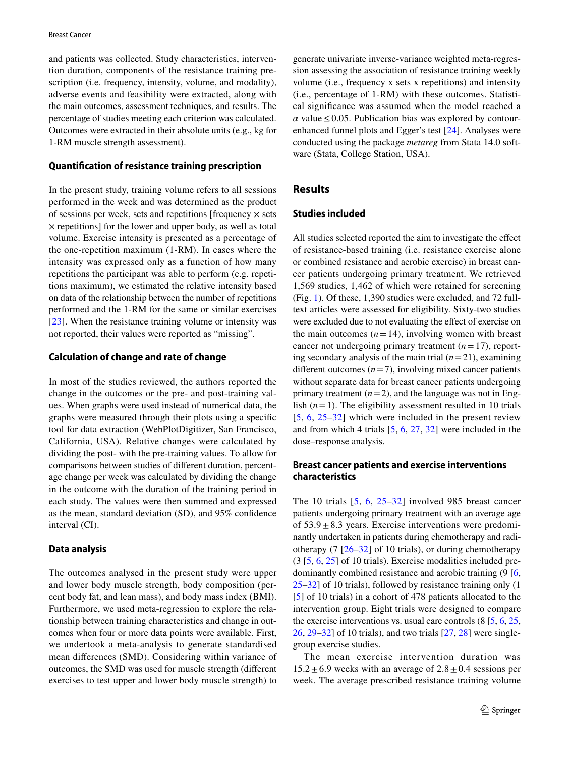and patients was collected. Study characteristics, intervention duration, components of the resistance training prescription (i.e. frequency, intensity, volume, and modality), adverse events and feasibility were extracted, along with the main outcomes, assessment techniques, and results. The percentage of studies meeting each criterion was calculated. Outcomes were extracted in their absolute units (e.g., kg for 1-RM muscle strength assessment).

## **Quantifcation of resistance training prescription**

In the present study, training volume refers to all sessions performed in the week and was determined as the product of sessions per week, sets and repetitions [frequency  $\times$  sets × repetitions] for the lower and upper body, as well as total volume. Exercise intensity is presented as a percentage of the one-repetition maximum (1-RM). In cases where the intensity was expressed only as a function of how many repetitions the participant was able to perform (e.g. repetitions maximum), we estimated the relative intensity based on data of the relationship between the number of repetitions performed and the 1-RM for the same or similar exercises [\[23\]](#page-8-9). When the resistance training volume or intensity was not reported, their values were reported as "missing".

### **Calculation of change and rate of change**

In most of the studies reviewed, the authors reported the change in the outcomes or the pre- and post-training values. When graphs were used instead of numerical data, the graphs were measured through their plots using a specifc tool for data extraction (WebPlotDigitizer, San Francisco, California, USA). Relative changes were calculated by dividing the post- with the pre-training values. To allow for comparisons between studies of diferent duration, percentage change per week was calculated by dividing the change in the outcome with the duration of the training period in each study. The values were then summed and expressed as the mean, standard deviation (SD), and 95% confdence interval (CI).

## **Data analysis**

The outcomes analysed in the present study were upper and lower body muscle strength, body composition (percent body fat, and lean mass), and body mass index (BMI). Furthermore, we used meta-regression to explore the relationship between training characteristics and change in outcomes when four or more data points were available. First, we undertook a meta-analysis to generate standardised mean diferences (SMD). Considering within variance of outcomes, the SMD was used for muscle strength (diferent exercises to test upper and lower body muscle strength) to generate univariate inverse-variance weighted meta-regression assessing the association of resistance training weekly volume (i.e., frequency x sets x repetitions) and intensity (i.e., percentage of 1-RM) with these outcomes. Statistical signifcance was assumed when the model reached a  $\alpha$  value  $\leq$  0.05. Publication bias was explored by contourenhanced funnel plots and Egger's test [\[24](#page-8-10)]. Analyses were conducted using the package *metareg* from Stata 14.0 software (Stata, College Station, USA).

## **Results**

## **Studies included**

All studies selected reported the aim to investigate the efect of resistance-based training (i.e. resistance exercise alone or combined resistance and aerobic exercise) in breast cancer patients undergoing primary treatment. We retrieved 1,569 studies, 1,462 of which were retained for screening (Fig. [1\)](#page-3-0). Of these, 1,390 studies were excluded, and 72 fulltext articles were assessed for eligibility. Sixty-two studies were excluded due to not evaluating the effect of exercise on the main outcomes  $(n=14)$ , involving women with breast cancer not undergoing primary treatment  $(n=17)$ , reporting secondary analysis of the main trial  $(n=21)$ , examining different outcomes  $(n=7)$ , involving mixed cancer patients without separate data for breast cancer patients undergoing primary treatment  $(n=2)$ , and the language was not in English  $(n=1)$ . The eligibility assessment resulted in 10 trials [[5,](#page-7-2) [6,](#page-7-3) [25](#page-8-11)[–32\]](#page-8-12) which were included in the present review and from which 4 trials [\[5](#page-7-2), [6,](#page-7-3) [27](#page-8-13), [32\]](#page-8-12) were included in the dose–response analysis.

## **Breast cancer patients and exercise interventions characteristics**

The 10 trials [[5](#page-7-2), [6](#page-7-3), [25](#page-8-11)–[32](#page-8-12)] involved 985 breast cancer patients undergoing primary treatment with an average age of  $53.9 \pm 8.3$  years. Exercise interventions were predominantly undertaken in patients during chemotherapy and radiotherapy  $(7 \, 26-32)$  $(7 \, 26-32)$  $(7 \, 26-32)$  of 10 trials), or during chemotherapy  $(3 [5, 6, 25]$  $(3 [5, 6, 25]$  $(3 [5, 6, 25]$  $(3 [5, 6, 25]$  $(3 [5, 6, 25]$  $(3 [5, 6, 25]$  of 10 trials). Exercise modalities included predominantly combined resistance and aerobic training (9 [[6,](#page-7-3) [25](#page-8-11)[–32](#page-8-12)] of 10 trials), followed by resistance training only (1 [[5\]](#page-7-2) of 10 trials) in a cohort of 478 patients allocated to the intervention group. Eight trials were designed to compare the exercise interventions vs. usual care controls (8 [\[5](#page-7-2), [6](#page-7-3), [25,](#page-8-11) [26](#page-8-14), [29](#page-8-15)[–32](#page-8-12)] of 10 trials), and two trials [\[27](#page-8-13), [28](#page-8-16)] were singlegroup exercise studies.

The mean exercise intervention duration was  $15.2 \pm 6.9$  weeks with an average of  $2.8 \pm 0.4$  sessions per week. The average prescribed resistance training volume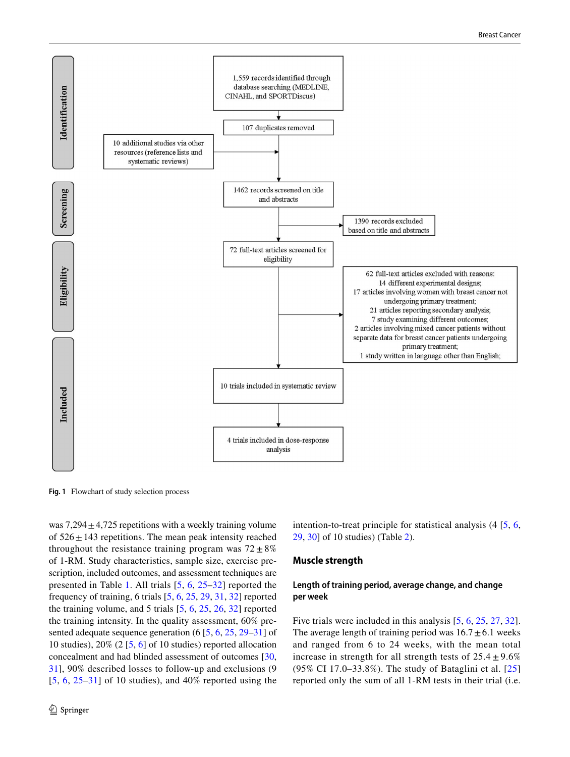

<span id="page-3-0"></span>**Fig. 1** Flowchart of study selection process

was  $7,294 \pm 4,725$  repetitions with a weekly training volume of  $526 \pm 143$  repetitions. The mean peak intensity reached throughout the resistance training program was  $72 \pm 8\%$ of 1-RM. Study characteristics, sample size, exercise prescription, included outcomes, and assessment techniques are presented in Table [1.](#page-4-0) All trials [\[5](#page-7-2), [6](#page-7-3), [25](#page-8-11)[–32](#page-8-12)] reported the frequency of training, 6 trials [\[5,](#page-7-2) [6](#page-7-3), [25](#page-8-11), [29,](#page-8-15) [31,](#page-8-17) [32\]](#page-8-12) reported the training volume, and 5 trials [[5,](#page-7-2) [6,](#page-7-3) [25](#page-8-11), [26,](#page-8-14) [32](#page-8-12)] reported the training intensity. In the quality assessment, 60% presented adequate sequence generation (6 [\[5](#page-7-2), [6](#page-7-3), [25](#page-8-11), [29–](#page-8-15)[31](#page-8-17)] of 10 studies),  $20\%$  (2 [\[5,](#page-7-2) [6\]](#page-7-3) of 10 studies) reported allocation concealment and had blinded assessment of outcomes [[30,](#page-8-18) [31](#page-8-17)], 90% described losses to follow-up and exclusions (9  $[5, 6, 25-31]$  $[5, 6, 25-31]$  $[5, 6, 25-31]$  $[5, 6, 25-31]$  $[5, 6, 25-31]$  $[5, 6, 25-31]$  $[5, 6, 25-31]$  of 10 studies), and 40% reported using the intention-to-treat principle for statistical analysis (4 [[5](#page-7-2), [6,](#page-7-3) [29](#page-8-15), [30](#page-8-18)] of 10 studies) (Table [2\)](#page-5-0).

#### **Muscle strength**

## **Length of training period, average change, and change per week**

Five trials were included in this analysis  $[5, 6, 25, 27, 32]$  $[5, 6, 25, 27, 32]$  $[5, 6, 25, 27, 32]$  $[5, 6, 25, 27, 32]$  $[5, 6, 25, 27, 32]$  $[5, 6, 25, 27, 32]$  $[5, 6, 25, 27, 32]$  $[5, 6, 25, 27, 32]$  $[5, 6, 25, 27, 32]$  $[5, 6, 25, 27, 32]$ . The average length of training period was  $16.7 \pm 6.1$  weeks and ranged from 6 to 24 weeks, with the mean total increase in strength for all strength tests of  $25.4 \pm 9.6\%$ (95% CI 17.0–33.8%). The study of Bataglini et al. [\[25\]](#page-8-11) reported only the sum of all 1-RM tests in their trial (i.e.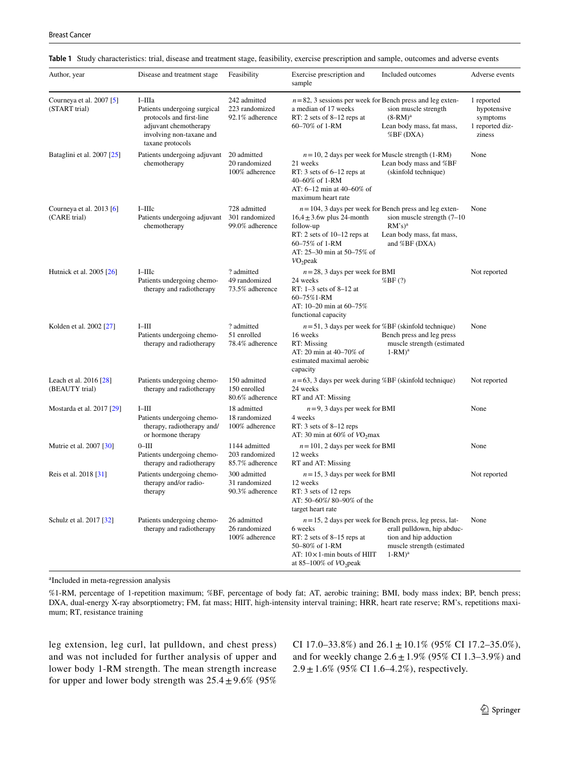| Author, year                               | Disease and treatment stage                                                                                                                 | Feasibility                                        | Exercise prescription and<br>sample                                                                                                                                                                                                                                                                            | Included outcomes                                                                                                                                              | Adverse events                                                     |
|--------------------------------------------|---------------------------------------------------------------------------------------------------------------------------------------------|----------------------------------------------------|----------------------------------------------------------------------------------------------------------------------------------------------------------------------------------------------------------------------------------------------------------------------------------------------------------------|----------------------------------------------------------------------------------------------------------------------------------------------------------------|--------------------------------------------------------------------|
| Courneya et al. 2007 [5]<br>(START trial)  | I-IIIa<br>Patients undergoing surgical<br>protocols and first-line<br>adjuvant chemotherapy<br>involving non-taxane and<br>taxane protocols | 242 admitted<br>223 randomized<br>92.1% adherence  | $n=82$ , 3 sessions per week for Bench press and leg exten-<br>a median of 17 weeks<br>sion muscle strength<br>RT: 2 sets of $8-12$ reps at<br>$(8-RM)a$<br>60-70% of 1-RM<br>Lean body mass, fat mass,<br>%BF (DXA)                                                                                           |                                                                                                                                                                | 1 reported<br>hypotensive<br>symptoms<br>1 reported diz-<br>ziness |
| Bataglini et al. 2007 [25]                 | Patients undergoing adjuvant<br>chemotherapy                                                                                                | 20 admitted<br>20 randomized<br>100% adherence     | $n = 10$ , 2 days per week for Muscle strength (1-RM)<br>Lean body mass and %BF<br>21 weeks<br>RT: 3 sets of $6-12$ reps at<br>(skinfold technique)<br>40–60% of 1-RM<br>AT: 6-12 min at 40-60% of<br>maximum heart rate                                                                                       |                                                                                                                                                                | None                                                               |
| Courneya et al. $2013$ [6]<br>(CARE trial) | $I$ -IIIc<br>Patients undergoing adjuvant<br>chemotherapy                                                                                   | 728 admitted<br>301 randomized<br>99.0% adherence  | $n = 104$ , 3 days per week for Bench press and leg exten-<br>$16.4 \pm 3.6$ w plus 24-month<br>sion muscle strength $(7-10)$<br>$RM's)^a$<br>follow-up<br>Lean body mass, fat mass,<br>RT: 2 sets of $10-12$ reps at<br>and %BF (DXA)<br>60–75% of 1-RM<br>AT: 25-30 min at 50-75% of<br>VO <sub>2</sub> peak |                                                                                                                                                                | None                                                               |
| Hutnick et al. 2005 [26]                   | $I$ -IIIc<br>Patients undergoing chemo-<br>therapy and radiotherapy                                                                         | ? admitted<br>49 randomized<br>73.5% adherence     | $n = 28$ , 3 days per week for BMI<br>24 weeks<br>%BF(?)<br>RT: $1-3$ sets of $8-12$ at<br>60-75%1-RM<br>AT: 10-20 min at 60-75%<br>functional capacity                                                                                                                                                        |                                                                                                                                                                | Not reported                                                       |
| Kolden et al. 2002 [27]                    | $I-III$<br>Patients undergoing chemo-<br>therapy and radiotherapy                                                                           | ? admitted<br>51 enrolled<br>78.4% adherence       | 16 weeks<br>RT: Missing<br>AT: 20 min at 40–70% of<br>estimated maximal aerobic<br>capacity                                                                                                                                                                                                                    | $n = 51$ , 3 days per week for %BF (skinfold technique)<br>Bench press and leg press<br>muscle strength (estimated<br>$1-RM)^a$                                | None                                                               |
| Leach et al. 2016 [28]<br>(BEAUTY trial)   | Patients undergoing chemo-<br>therapy and radiotherapy                                                                                      | 150 admitted<br>150 enrolled<br>80.6% adherence    | $n=63$ , 3 days per week during %BF (skinfold technique)<br>24 weeks<br>RT and AT: Missing                                                                                                                                                                                                                     |                                                                                                                                                                | Not reported                                                       |
| Mostarda et al. 2017 [29]                  | $I-III$<br>Patients undergoing chemo-<br>therapy, radiotherapy and/<br>or hormone therapy                                                   | 18 admitted<br>18 randomized<br>100% adherence     | $n=9$ , 3 days per week for BMI<br>4 weeks<br>RT: $3 \text{ sets of } 8-12 \text{ reps}$<br>AT: 30 min at $60\%$ of $VO2$ max                                                                                                                                                                                  |                                                                                                                                                                | None                                                               |
| Mutrie et al. 2007 [30]                    | $0$ -III<br>Patients undergoing chemo-<br>therapy and radiotherapy                                                                          | 1144 admitted<br>203 randomized<br>85.7% adherence | $n = 101$ , 2 days per week for BMI<br>12 weeks<br>RT and AT: Missing                                                                                                                                                                                                                                          |                                                                                                                                                                | None                                                               |
| Reis et al. 2018 [31]                      | Patients undergoing chemo-<br>therapy and/or radio-<br>therapy                                                                              | 300 admitted<br>31 randomized<br>90.3% adherence   | $n = 15$ , 3 days per week for BMI<br>12 weeks<br>RT: 3 sets of 12 reps<br>AT: 50-60%/80-90% of the<br>target heart rate                                                                                                                                                                                       |                                                                                                                                                                | Not reported                                                       |
| Schulz et al. 2017 [32]                    | Patients undergoing chemo-<br>therapy and radiotherapy                                                                                      | 26 admitted<br>26 randomized<br>100% adherence     | 6 weeks<br>RT: 2 sets of 8-15 reps at<br>50-80% of 1-RM<br>AT: $10 \times 1$ -min bouts of HIIT<br>at 85–100% of $VO_2$ peak                                                                                                                                                                                   | $n = 15$ , 2 days per week for Bench press, leg press, lat-<br>erall pulldown, hip abduc-<br>tion and hip adduction<br>muscle strength (estimated<br>$1-RM)^a$ | None                                                               |

<span id="page-4-0"></span>

|  | Table 1 Study characteristics: trial, disease and treatment stage, feasibility, exercise prescription and sample, outcomes and adverse events |  |  |  |  |  |  |  |  |
|--|-----------------------------------------------------------------------------------------------------------------------------------------------|--|--|--|--|--|--|--|--|
|--|-----------------------------------------------------------------------------------------------------------------------------------------------|--|--|--|--|--|--|--|--|

a Included in meta-regression analysis

%1-RM, percentage of 1-repetition maximum; %BF, percentage of body fat; AT, aerobic training; BMI, body mass index; BP, bench press; DXA, dual-energy X-ray absorptiometry; FM, fat mass; HIIT, high-intensity interval training; HRR, heart rate reserve; RM's, repetitions maximum; RT, resistance training

leg extension, leg curl, lat pulldown, and chest press) and was not included for further analysis of upper and lower body 1-RM strength. The mean strength increase for upper and lower body strength was  $25.4 \pm 9.6\%$  (95%) CI 17.0–33.8%) and  $26.1 \pm 10.1\%$  (95% CI 17.2–35.0%), and for weekly change  $2.6 \pm 1.9\%$  (95% CI 1.3–3.9%) and  $2.9 \pm 1.6\%$  (95% CI 1.6–4.2%), respectively.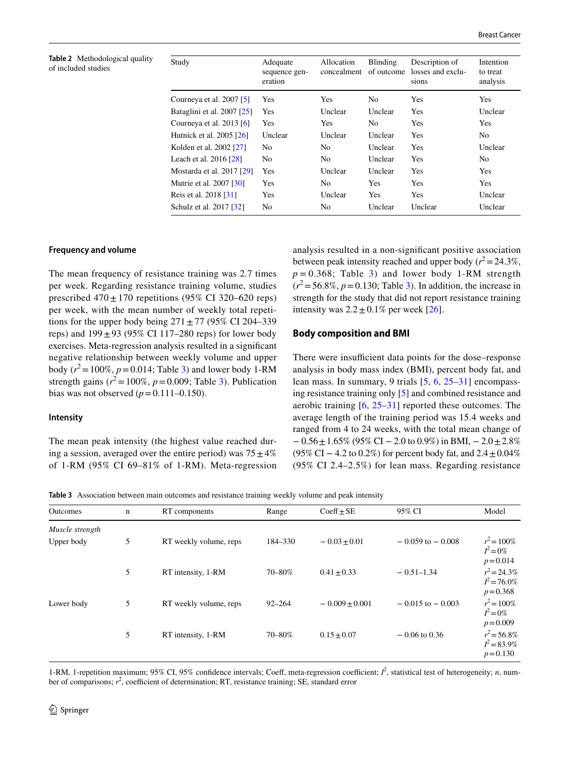<span id="page-5-0"></span>**Table 2** Methodological quality of included studies

| Study                                  | Adequate<br>sequence gen-<br>eration | Allocation<br>concealment | <b>Blinding</b><br>of outcome | Description of<br>losses and exclu-<br>sions | Intention<br>to treat<br>analysis |
|----------------------------------------|--------------------------------------|---------------------------|-------------------------------|----------------------------------------------|-----------------------------------|
| Courneya et al. $2007$ [5]             | Yes                                  | Yes                       | No.                           | Yes                                          | Yes                               |
| Bataglini et al. 2007 [25]             | Yes                                  | Unclear                   | Unclear                       | Yes                                          | Unclear                           |
| Courneya et al. $2013$ [6]             | Yes                                  | Yes                       | N <sub>0</sub>                | Yes                                          | Yes                               |
| Hutnick et al. 2005 [26]               | Unclear                              | Unclear                   | Unclear                       | Yes                                          | No.                               |
| Kolden et al. 2002 [27]                | No.                                  | N <sub>0</sub>            | Unclear                       | Yes                                          | Unclear                           |
| Leach et al. $2016$ $\lceil 28 \rceil$ | No.                                  | N <sub>0</sub>            | Unclear                       | Yes                                          | N <sub>0</sub>                    |
| Mostarda et al. 2017 [29]              | Yes                                  | Unclear                   | Unclear                       | Yes                                          | Yes                               |
| Mutrie et al. 2007 [30]                | Yes                                  | N <sub>0</sub>            | Yes                           | Yes                                          | Yes                               |
| Reis et al. 2018 [31]                  | Yes                                  | Unclear                   | Yes                           | Yes                                          | Unclear                           |
| Schulz et al. 2017 [32]                | N <sub>0</sub>                       | N <sub>0</sub>            | Unclear                       | Unclear                                      | Unclear                           |
|                                        |                                      |                           |                               |                                              |                                   |

#### **Frequency and volume**

The mean frequency of resistance training was 2.7 times per week. Regarding resistance training volume, studies prescribed  $470 \pm 170$  repetitions (95% CI 320–620 reps) per week, with the mean number of weekly total repetitions for the upper body being  $271 \pm 77$  (95% CI 204–339) reps) and  $199 \pm 93$  (95% CI 117–280 reps) for lower body exercises. Meta-regression analysis resulted in a signifcant negative relationship between weekly volume and upper body  $(r^2 = 100\%, p = 0.014;$  Table [3](#page-5-1)) and lower body 1-RM strength gains  $(r^2 = 100\%, p = 0.009;$  Table [3\)](#page-5-1). Publication bias was not observed  $(p=0.111-0.150)$ .

#### **Intensity**

The mean peak intensity (the highest value reached during a session, averaged over the entire period) was  $75 \pm 4\%$ of 1-RM (95% CI 69–81% of 1-RM). Meta-regression analysis resulted in a non-signifcant positive association between peak intensity reached and upper body  $(r^2 = 24.3\%,$  $p = 0.368$  $p = 0.368$  $p = 0.368$ ; Table 3) and lower body 1-RM strength  $(r^2 = 56.8\%, p = 0.130;$  Table [3](#page-5-1)). In addition, the increase in strength for the study that did not report resistance training intensity was  $2.2 \pm 0.1\%$  per week [\[26](#page-8-14)].

## **Body composition and BMI**

There were insufficient data points for the dose–response analysis in body mass index (BMI), percent body fat, and lean mass. In summary, 9 trials [[5,](#page-7-2) [6](#page-7-3), [25](#page-8-11)[–31\]](#page-8-17) encompassing resistance training only [\[5](#page-7-2)] and combined resistance and aerobic training [\[6](#page-7-3), [25](#page-8-11)[–31\]](#page-8-17) reported these outcomes. The average length of the training period was 15.4 weeks and ranged from 4 to 24 weeks, with the total mean change of  $-0.56\pm1.65\%$  (95% CI – 2.0 to 0.9%) in BMI, – 2.0 $\pm$ 2.8% (95% CI – 4.2 to 0.2%) for percent body fat, and  $2.4 \pm 0.04\%$ (95% CI 2.4–2.5%) for lean mass. Regarding resistance

<span id="page-5-1"></span>**Table 3** Association between main outcomes and resistance training weekly volume and peak intensity

| Outcomes<br>RT components<br>$\mathbf n$ |   |                        | Range      | $Coeff \pm SE$   | 95% CI               | Model                                           |  |
|------------------------------------------|---|------------------------|------------|------------------|----------------------|-------------------------------------------------|--|
| Muscle strength                          |   |                        |            |                  |                      |                                                 |  |
| Upper body                               | 5 | RT weekly volume, reps | 184–330    | $-0.03 \pm 0.01$ | $-0.059$ to $-0.008$ | $r^2 = 100\%$<br>$I^2 = 0\%$<br>$p = 0.014$     |  |
|                                          | 5 | RT intensity, 1-RM     | 70-80%     | $0.41 \pm 0.33$  | $-0.51-1.34$         | $r^2 = 24.3\%$<br>$I^2 = 76.0\%$<br>$p = 0.368$ |  |
| Lower body                               | 5 | RT weekly volume, reps | $92 - 264$ | $-0.009 + 0.001$ | $-0.015$ to $-0.003$ | $r^2 = 100\%$<br>$I^2 = 0\%$<br>$p = 0.009$     |  |
|                                          | 5 | RT intensity, 1-RM     | 70-80%     | $0.15 \pm 0.07$  | $-0.06$ to 0.36      | $r^2 = 56.8\%$<br>$I^2 = 83.9\%$<br>$p = 0.130$ |  |

1-RM, 1-repetition maximum; 95% CI, 95% confidence intervals; Coeff, meta-regression coefficient;  $l^2$ , statistical test of heterogeneity; *n*, number of comparisons;  $r^2$ , coefficient of determination; RT, resistance training; SE, standard error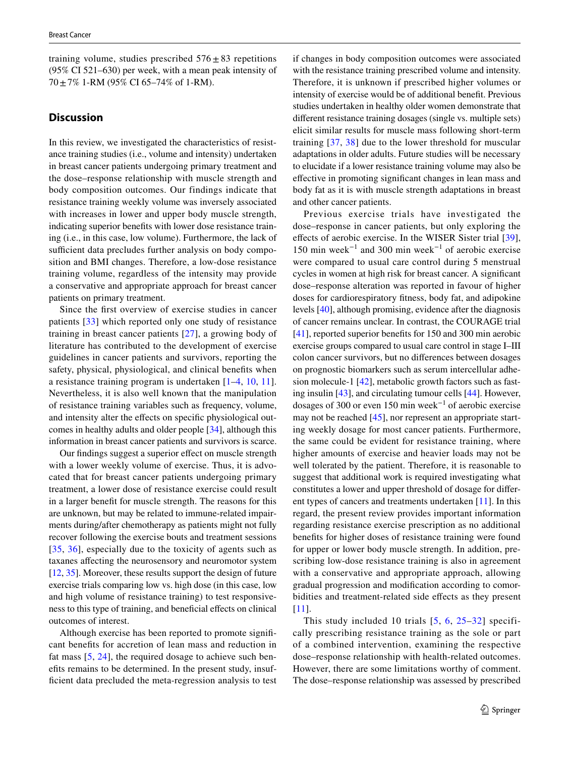training volume, studies prescribed  $576 \pm 83$  repetitions (95% CI 521–630) per week, with a mean peak intensity of  $70 \pm 7\%$  1-RM (95% CI 65–74% of 1-RM).

## **Discussion**

In this review, we investigated the characteristics of resistance training studies (i.e., volume and intensity) undertaken in breast cancer patients undergoing primary treatment and the dose–response relationship with muscle strength and body composition outcomes. Our findings indicate that resistance training weekly volume was inversely associated with increases in lower and upper body muscle strength, indicating superior benefts with lower dose resistance training (i.e., in this case, low volume). Furthermore, the lack of sufficient data precludes further analysis on body composition and BMI changes. Therefore, a low-dose resistance training volume, regardless of the intensity may provide a conservative and appropriate approach for breast cancer patients on primary treatment.

Since the frst overview of exercise studies in cancer patients [[33](#page-8-19)] which reported only one study of resistance training in breast cancer patients [\[27\]](#page-8-13), a growing body of literature has contributed to the development of exercise guidelines in cancer patients and survivors, reporting the safety, physical, physiological, and clinical benefts when a resistance training program is undertaken [\[1](#page-7-0)–[4,](#page-7-1) [10](#page-7-9), [11](#page-7-10)]. Nevertheless, it is also well known that the manipulation of resistance training variables such as frequency, volume, and intensity alter the efects on specifc physiological outcomes in healthy adults and older people [[34\]](#page-8-20), although this information in breast cancer patients and survivors is scarce.

Our fndings suggest a superior efect on muscle strength with a lower weekly volume of exercise. Thus, it is advocated that for breast cancer patients undergoing primary treatment, a lower dose of resistance exercise could result in a larger beneft for muscle strength. The reasons for this are unknown, but may be related to immune-related impairments during/after chemotherapy as patients might not fully recover following the exercise bouts and treatment sessions [[35,](#page-8-21) [36](#page-8-22)], especially due to the toxicity of agents such as taxanes afecting the neurosensory and neuromotor system [\[12](#page-7-11), [35\]](#page-8-21). Moreover, these results support the design of future exercise trials comparing low vs. high dose (in this case, low and high volume of resistance training) to test responsiveness to this type of training, and benefcial efects on clinical outcomes of interest.

Although exercise has been reported to promote signifcant benefts for accretion of lean mass and reduction in fat mass [\[5](#page-7-2), [24](#page-8-10)], the required dosage to achieve such benefts remains to be determined. In the present study, insuffcient data precluded the meta-regression analysis to test if changes in body composition outcomes were associated with the resistance training prescribed volume and intensity. Therefore, it is unknown if prescribed higher volumes or intensity of exercise would be of additional beneft. Previous studies undertaken in healthy older women demonstrate that diferent resistance training dosages (single vs. multiple sets) elicit similar results for muscle mass following short-term training [[37](#page-8-23), [38\]](#page-8-24) due to the lower threshold for muscular adaptations in older adults. Future studies will be necessary to elucidate if a lower resistance training volume may also be efective in promoting signifcant changes in lean mass and body fat as it is with muscle strength adaptations in breast and other cancer patients.

Previous exercise trials have investigated the dose–response in cancer patients, but only exploring the efects of aerobic exercise. In the WISER Sister trial [\[39](#page-8-25)], 150 min week<sup>-1</sup> and 300 min week<sup>-1</sup> of aerobic exercise were compared to usual care control during 5 menstrual cycles in women at high risk for breast cancer. A signifcant dose–response alteration was reported in favour of higher doses for cardiorespiratory ftness, body fat, and adipokine levels [\[40](#page-8-26)], although promising, evidence after the diagnosis of cancer remains unclear. In contrast, the COURAGE trial [\[41](#page-8-27)], reported superior benefts for 150 and 300 min aerobic exercise groups compared to usual care control in stage I–III colon cancer survivors, but no diferences between dosages on prognostic biomarkers such as serum intercellular adhesion molecule-1 [[42\]](#page-8-28), metabolic growth factors such as fasting insulin [[43\]](#page-8-29), and circulating tumour cells [\[44](#page-8-30)]. However, dosages of 300 or even 150 min week−1 of aerobic exercise may not be reached [\[45\]](#page-8-31), nor represent an appropriate starting weekly dosage for most cancer patients. Furthermore, the same could be evident for resistance training, where higher amounts of exercise and heavier loads may not be well tolerated by the patient. Therefore, it is reasonable to suggest that additional work is required investigating what constitutes a lower and upper threshold of dosage for diferent types of cancers and treatments undertaken [\[11](#page-7-10)]. In this regard, the present review provides important information regarding resistance exercise prescription as no additional benefts for higher doses of resistance training were found for upper or lower body muscle strength. In addition, prescribing low-dose resistance training is also in agreement with a conservative and appropriate approach, allowing gradual progression and modifcation according to comorbidities and treatment-related side effects as they present [[11\]](#page-7-10).

This study included 10 trials [[5,](#page-7-2) [6,](#page-7-3) [25–](#page-8-11)[32](#page-8-12)] specifically prescribing resistance training as the sole or part of a combined intervention, examining the respective dose–response relationship with health-related outcomes. However, there are some limitations worthy of comment. The dose–response relationship was assessed by prescribed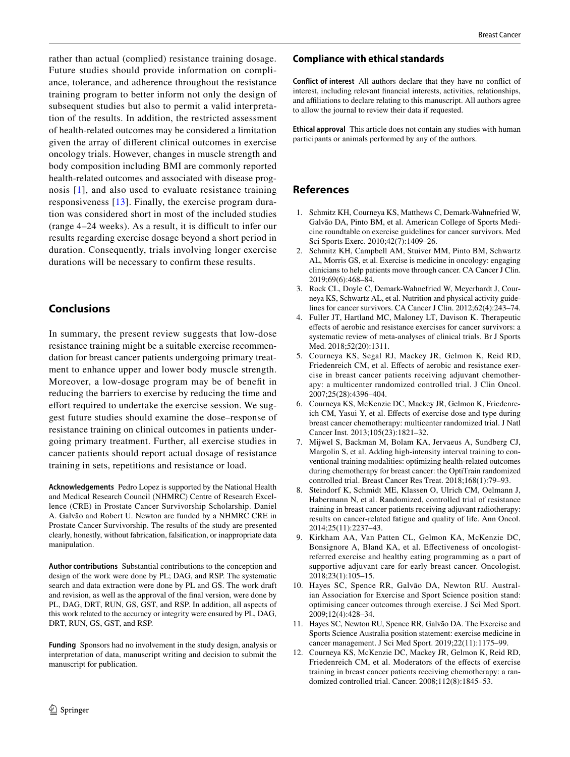rather than actual (complied) resistance training dosage. Future studies should provide information on compliance, tolerance, and adherence throughout the resistance training program to better inform not only the design of subsequent studies but also to permit a valid interpretation of the results. In addition, the restricted assessment of health-related outcomes may be considered a limitation given the array of diferent clinical outcomes in exercise oncology trials. However, changes in muscle strength and body composition including BMI are commonly reported health-related outcomes and associated with disease prognosis [\[1\]](#page-7-0), and also used to evaluate resistance training responsiveness [[13](#page-8-0)]. Finally, the exercise program duration was considered short in most of the included studies  $(\text{range } 4-24 \text{ weeks})$ . As a result, it is difficult to infer our results regarding exercise dosage beyond a short period in duration. Consequently, trials involving longer exercise durations will be necessary to confrm these results.

# **Conclusions**

In summary, the present review suggests that low-dose resistance training might be a suitable exercise recommendation for breast cancer patients undergoing primary treatment to enhance upper and lower body muscle strength. Moreover, a low-dosage program may be of beneft in reducing the barriers to exercise by reducing the time and effort required to undertake the exercise session. We suggest future studies should examine the dose–response of resistance training on clinical outcomes in patients undergoing primary treatment. Further, all exercise studies in cancer patients should report actual dosage of resistance training in sets, repetitions and resistance or load.

**Acknowledgements** Pedro Lopez is supported by the National Health and Medical Research Council (NHMRC) Centre of Research Excellence (CRE) in Prostate Cancer Survivorship Scholarship. Daniel A. Galvão and Robert U. Newton are funded by a NHMRC CRE in Prostate Cancer Survivorship. The results of the study are presented clearly, honestly, without fabrication, falsifcation, or inappropriate data manipulation.

**Author contributions** Substantial contributions to the conception and design of the work were done by PL; DAG, and RSP. The systematic search and data extraction were done by PL and GS. The work draft and revision, as well as the approval of the fnal version, were done by PL, DAG, DRT, RUN, GS, GST, and RSP. In addition, all aspects of this work related to the accuracy or integrity were ensured by PL, DAG, DRT, RUN, GS, GST, and RSP.

**Funding** Sponsors had no involvement in the study design, analysis or interpretation of data, manuscript writing and decision to submit the manuscript for publication.

## **Compliance with ethical standards**

**Conflict of interest** All authors declare that they have no confict of interest, including relevant fnancial interests, activities, relationships, and afliations to declare relating to this manuscript. All authors agree to allow the journal to review their data if requested.

**Ethical approval** This article does not contain any studies with human participants or animals performed by any of the authors.

# **References**

- <span id="page-7-0"></span>1. Schmitz KH, Courneya KS, Matthews C, Demark-Wahnefried W, Galvão DA, Pinto BM, et al. American College of Sports Medicine roundtable on exercise guidelines for cancer survivors. Med Sci Sports Exerc. 2010;42(7):1409–26.
- <span id="page-7-7"></span>2. Schmitz KH, Campbell AM, Stuiver MM, Pinto BM, Schwartz AL, Morris GS, et al. Exercise is medicine in oncology: engaging clinicians to help patients move through cancer. CA Cancer J Clin. 2019;69(6):468–84.
- <span id="page-7-8"></span>3. Rock CL, Doyle C, Demark-Wahnefried W, Meyerhardt J, Courneya KS, Schwartz AL, et al. Nutrition and physical activity guidelines for cancer survivors. CA Cancer J Clin. 2012;62(4):243–74.
- <span id="page-7-1"></span>4. Fuller JT, Hartland MC, Maloney LT, Davison K. Therapeutic efects of aerobic and resistance exercises for cancer survivors: a systematic review of meta-analyses of clinical trials. Br J Sports Med. 2018;52(20):1311.
- <span id="page-7-2"></span>5. Courneya KS, Segal RJ, Mackey JR, Gelmon K, Reid RD, Friedenreich CM, et al. Effects of aerobic and resistance exercise in breast cancer patients receiving adjuvant chemotherapy: a multicenter randomized controlled trial. J Clin Oncol. 2007;25(28):4396–404.
- <span id="page-7-3"></span>6. Courneya KS, McKenzie DC, Mackey JR, Gelmon K, Friedenreich CM, Yasui Y, et al. Efects of exercise dose and type during breast cancer chemotherapy: multicenter randomized trial. J Natl Cancer Inst. 2013;105(23):1821–32.
- <span id="page-7-4"></span>7. Mijwel S, Backman M, Bolam KA, Jervaeus A, Sundberg CJ, Margolin S, et al. Adding high-intensity interval training to conventional training modalities: optimizing health-related outcomes during chemotherapy for breast cancer: the OptiTrain randomized controlled trial. Breast Cancer Res Treat. 2018;168(1):79–93.
- <span id="page-7-5"></span>8. Steindorf K, Schmidt ME, Klassen O, Ulrich CM, Oelmann J, Habermann N, et al. Randomized, controlled trial of resistance training in breast cancer patients receiving adjuvant radiotherapy: results on cancer-related fatigue and quality of life. Ann Oncol. 2014;25(11):2237–43.
- <span id="page-7-6"></span>9. Kirkham AA, Van Patten CL, Gelmon KA, McKenzie DC, Bonsignore A, Bland KA, et al. Efectiveness of oncologistreferred exercise and healthy eating programming as a part of supportive adjuvant care for early breast cancer. Oncologist. 2018;23(1):105–15.
- <span id="page-7-9"></span>10. Hayes SC, Spence RR, Galvão DA, Newton RU. Australian Association for Exercise and Sport Science position stand: optimising cancer outcomes through exercise. J Sci Med Sport. 2009;12(4):428–34.
- <span id="page-7-10"></span>11. Hayes SC, Newton RU, Spence RR, Galvão DA. The Exercise and Sports Science Australia position statement: exercise medicine in cancer management. J Sci Med Sport. 2019;22(11):1175–99.
- <span id="page-7-11"></span>12. Courneya KS, McKenzie DC, Mackey JR, Gelmon K, Reid RD, Friedenreich CM, et al. Moderators of the effects of exercise training in breast cancer patients receiving chemotherapy: a randomized controlled trial. Cancer. 2008;112(8):1845–53.